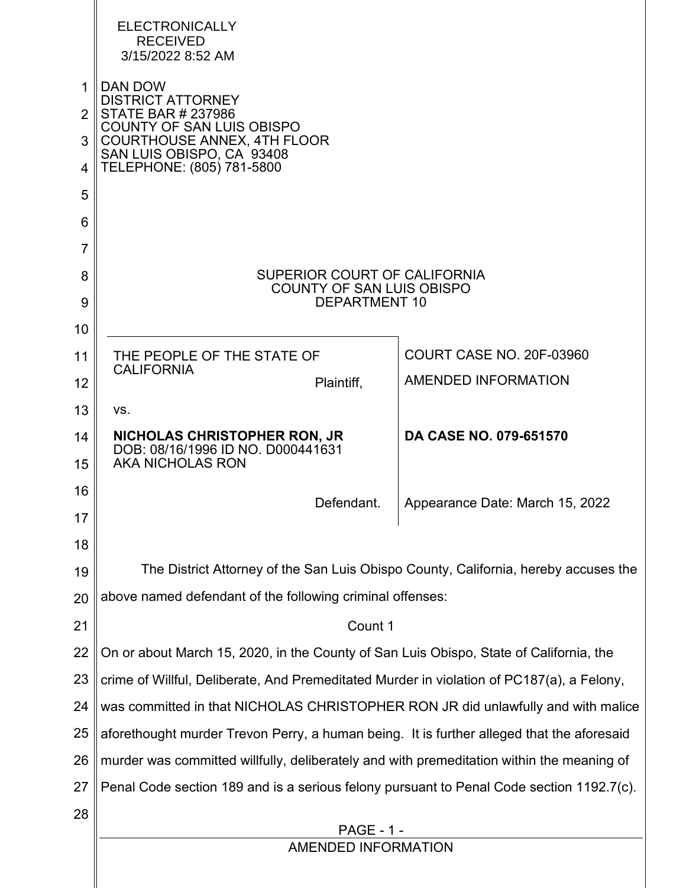|                | <b>ELECTRONICALLY</b><br><b>RECEIVED</b><br>3/15/2022 8:52 AM                             |                                 |  |  |  |  |  |  |  |
|----------------|-------------------------------------------------------------------------------------------|---------------------------------|--|--|--|--|--|--|--|
| 1              | DAN DOW<br><b>DISTRICT ATTORNEY</b>                                                       |                                 |  |  |  |  |  |  |  |
| $\overline{2}$ | <b>STATE BAR # 237986</b><br><b>COUNTY OF SAN LUIS OBISPO</b>                             |                                 |  |  |  |  |  |  |  |
| 3              | <b>COURTHOUSE ANNEX, 4TH FLOOR</b><br>SAN LUIS OBISPO, CA 93408                           |                                 |  |  |  |  |  |  |  |
| 4              | TELEPHONE: (805) 781-5800                                                                 |                                 |  |  |  |  |  |  |  |
| 5              |                                                                                           |                                 |  |  |  |  |  |  |  |
| 6              |                                                                                           |                                 |  |  |  |  |  |  |  |
| $\overline{7}$ |                                                                                           |                                 |  |  |  |  |  |  |  |
| 8<br>9         | SUPERIOR COURT OF CALIFORNIA<br><b>COUNTY OF SAN LUIS OBISPO</b><br><b>DEPARTMENT 10</b>  |                                 |  |  |  |  |  |  |  |
| 10             |                                                                                           |                                 |  |  |  |  |  |  |  |
| 11             | THE PEOPLE OF THE STATE OF                                                                | COURT CASE NO. 20F-03960        |  |  |  |  |  |  |  |
| 12             | <b>CALIFORNIA</b><br>Plaintiff,                                                           | AMENDED INFORMATION             |  |  |  |  |  |  |  |
| 13             | VS.                                                                                       |                                 |  |  |  |  |  |  |  |
| 14             | <b>NICHOLAS CHRISTOPHER RON, JR</b><br>DOB: 08/16/1996 ID NO. D000441631                  | <b>DA CASE NO. 079-651570</b>   |  |  |  |  |  |  |  |
| 15             | <b>AKA NICHOLAS RON</b>                                                                   |                                 |  |  |  |  |  |  |  |
| 16             | Defendant.                                                                                | Appearance Date: March 15, 2022 |  |  |  |  |  |  |  |
| 17             |                                                                                           |                                 |  |  |  |  |  |  |  |
| 18             |                                                                                           |                                 |  |  |  |  |  |  |  |
| 19             | The District Attorney of the San Luis Obispo County, California, hereby accuses the       |                                 |  |  |  |  |  |  |  |
| 20             | above named defendant of the following criminal offenses:                                 |                                 |  |  |  |  |  |  |  |
| 21             | Count 1                                                                                   |                                 |  |  |  |  |  |  |  |
| 22             | On or about March 15, 2020, in the County of San Luis Obispo, State of California, the    |                                 |  |  |  |  |  |  |  |
| 23             | crime of Willful, Deliberate, And Premeditated Murder in violation of PC187(a), a Felony, |                                 |  |  |  |  |  |  |  |
| 24             | was committed in that NICHOLAS CHRISTOPHER RON JR did unlawfully and with malice          |                                 |  |  |  |  |  |  |  |
| 25             | aforethought murder Trevon Perry, a human being. It is further alleged that the aforesaid |                                 |  |  |  |  |  |  |  |
| 26             | murder was committed willfully, deliberately and with premeditation within the meaning of |                                 |  |  |  |  |  |  |  |
| 27             | Penal Code section 189 and is a serious felony pursuant to Penal Code section 1192.7(c).  |                                 |  |  |  |  |  |  |  |
| 28             | <b>PAGE - 1 -</b>                                                                         |                                 |  |  |  |  |  |  |  |
|                | AMENDED INFORMATION                                                                       |                                 |  |  |  |  |  |  |  |
|                |                                                                                           |                                 |  |  |  |  |  |  |  |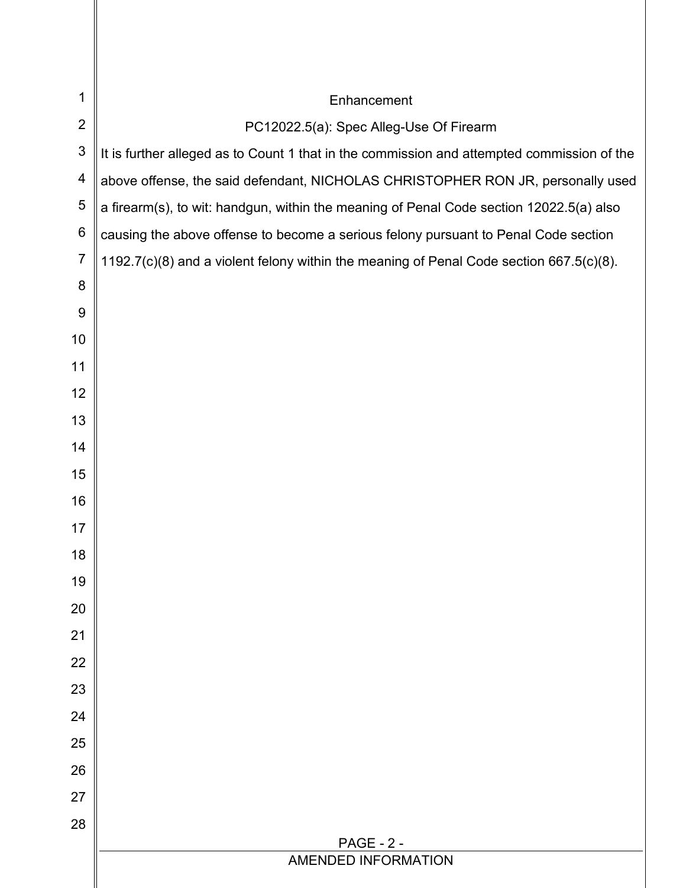| 1              | Enhancement                                                                                |  |  |  |  |  |
|----------------|--------------------------------------------------------------------------------------------|--|--|--|--|--|
| $\overline{2}$ | PC12022.5(a): Spec Alleg-Use Of Firearm                                                    |  |  |  |  |  |
| $\mathfrak{S}$ | It is further alleged as to Count 1 that in the commission and attempted commission of the |  |  |  |  |  |
| 4              | above offense, the said defendant, NICHOLAS CHRISTOPHER RON JR, personally used            |  |  |  |  |  |
| $\sqrt{5}$     | a firearm(s), to wit: handgun, within the meaning of Penal Code section 12022.5(a) also    |  |  |  |  |  |
| 6              | causing the above offense to become a serious felony pursuant to Penal Code section        |  |  |  |  |  |
| $\overline{7}$ | 1192.7(c)(8) and a violent felony within the meaning of Penal Code section 667.5(c)(8).    |  |  |  |  |  |
| 8              |                                                                                            |  |  |  |  |  |
| 9              |                                                                                            |  |  |  |  |  |
| 10             |                                                                                            |  |  |  |  |  |
| 11             |                                                                                            |  |  |  |  |  |
| 12             |                                                                                            |  |  |  |  |  |
| 13             |                                                                                            |  |  |  |  |  |
| 14             |                                                                                            |  |  |  |  |  |
| 15             |                                                                                            |  |  |  |  |  |
| 16             |                                                                                            |  |  |  |  |  |
| 17             |                                                                                            |  |  |  |  |  |
| 18             |                                                                                            |  |  |  |  |  |
| 19             |                                                                                            |  |  |  |  |  |
| 20             |                                                                                            |  |  |  |  |  |
| 21             |                                                                                            |  |  |  |  |  |
| 22             |                                                                                            |  |  |  |  |  |
| 23             |                                                                                            |  |  |  |  |  |
| 24             |                                                                                            |  |  |  |  |  |
| 25             |                                                                                            |  |  |  |  |  |
| 26             |                                                                                            |  |  |  |  |  |
| 27             |                                                                                            |  |  |  |  |  |
| 28             |                                                                                            |  |  |  |  |  |
|                | <b>PAGE - 2 -</b><br>AMENDED INFORMATION                                                   |  |  |  |  |  |
|                |                                                                                            |  |  |  |  |  |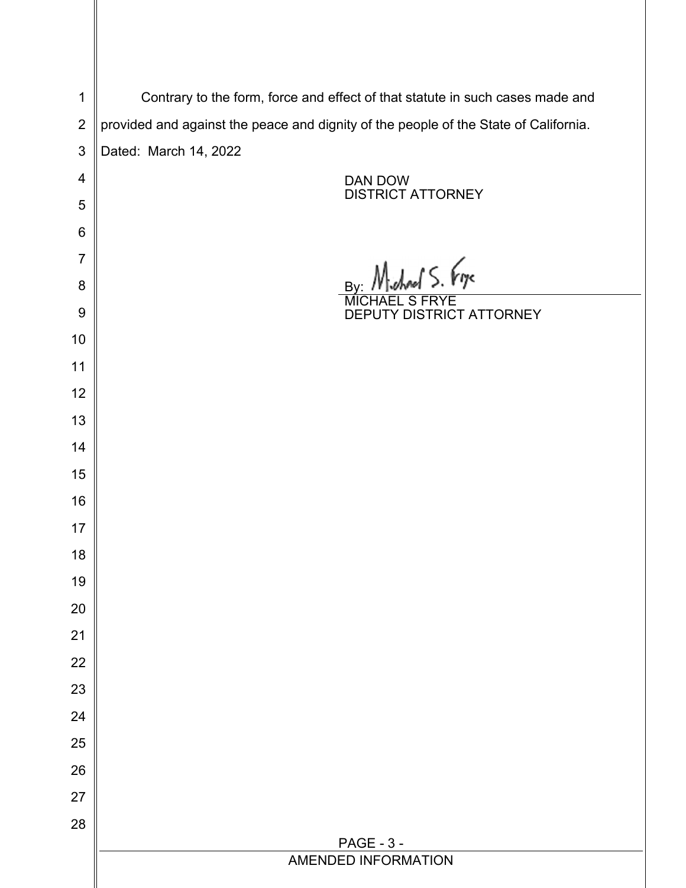| $\mathbf 1$    | Contrary to the form, force and effect of that statute in such cases made and        |  |  |  |  |
|----------------|--------------------------------------------------------------------------------------|--|--|--|--|
| $\overline{2}$ | provided and against the peace and dignity of the people of the State of California. |  |  |  |  |
| 3              | Dated: March 14, 2022                                                                |  |  |  |  |
| 4              | DAN DOW                                                                              |  |  |  |  |
| 5              | <b>DISTRICT ATTORNEY</b>                                                             |  |  |  |  |
| $\,6$          |                                                                                      |  |  |  |  |
| $\overline{7}$ |                                                                                      |  |  |  |  |
| 8              | By Michael S. Fry                                                                    |  |  |  |  |
| $9$            | DEPUTY DISTRICT ATTORNEY                                                             |  |  |  |  |
| 10             |                                                                                      |  |  |  |  |
| 11             |                                                                                      |  |  |  |  |
| 12             |                                                                                      |  |  |  |  |
| 13             |                                                                                      |  |  |  |  |
| 14             |                                                                                      |  |  |  |  |
| 15             |                                                                                      |  |  |  |  |
| 16             |                                                                                      |  |  |  |  |
| 17             |                                                                                      |  |  |  |  |
| 18             |                                                                                      |  |  |  |  |
| 19             |                                                                                      |  |  |  |  |
| 20             |                                                                                      |  |  |  |  |
| 21             |                                                                                      |  |  |  |  |
| 22             |                                                                                      |  |  |  |  |
| 23             |                                                                                      |  |  |  |  |
| 24             |                                                                                      |  |  |  |  |
| 25             |                                                                                      |  |  |  |  |
| 26             |                                                                                      |  |  |  |  |
| 27             |                                                                                      |  |  |  |  |
| 28             | <b>PAGE - 3 -</b>                                                                    |  |  |  |  |
|                | AMENDED INFORMATION                                                                  |  |  |  |  |
|                |                                                                                      |  |  |  |  |

II